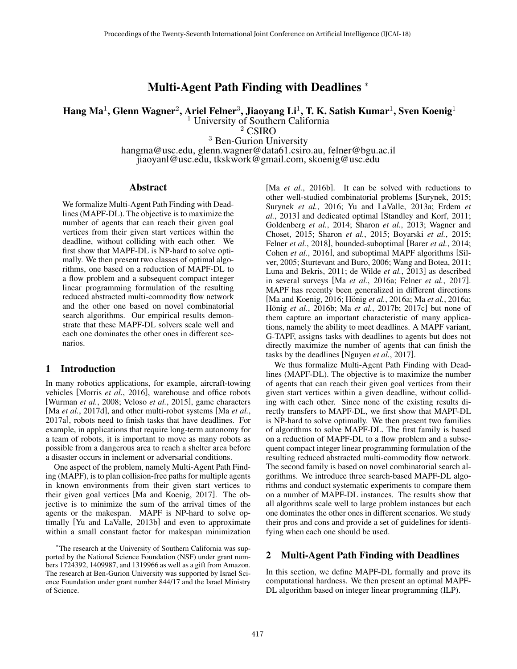# Multi-Agent Path Finding with Deadlines <sup>∗</sup>

Hang Ma $^1$ , Glenn Wagner $^2$ , Ariel Felner $^3$ , Jiaoyang Li $^1$ , T. K. Satish Kumar $^1$ , Sven Koenig $^1$ 

<sup>1</sup> University of Southern California

<sup>2</sup> CSIRO

<sup>3</sup> Ben-Gurion University hangma@usc.edu, glenn.wagner@data61.csiro.au, felner@bgu.ac.il jiaoyanl@usc.edu, tkskwork@gmail.com, skoenig@usc.edu

## Abstract

We formalize Multi-Agent Path Finding with Deadlines (MAPF-DL). The objective is to maximize the number of agents that can reach their given goal vertices from their given start vertices within the deadline, without colliding with each other. We first show that MAPF-DL is NP-hard to solve optimally. We then present two classes of optimal algorithms, one based on a reduction of MAPF-DL to a flow problem and a subsequent compact integer linear programming formulation of the resulting reduced abstracted multi-commodity flow network and the other one based on novel combinatorial search algorithms. Our empirical results demonstrate that these MAPF-DL solvers scale well and each one dominates the other ones in different scenarios.

## 1 Introduction

In many robotics applications, for example, aircraft-towing vehicles [Morris *et al.*, 2016], warehouse and office robots [Wurman *et al.*, 2008; Veloso *et al.*, 2015], game characters [Ma *et al.*, 2017d], and other multi-robot systems [Ma *et al.*, 2017a], robots need to finish tasks that have deadlines. For example, in applications that require long-term autonomy for a team of robots, it is important to move as many robots as possible from a dangerous area to reach a shelter area before a disaster occurs in inclement or adversarial conditions.

One aspect of the problem, namely Multi-Agent Path Finding (MAPF), is to plan collision-free paths for multiple agents in known environments from their given start vertices to their given goal vertices [Ma and Koenig, 2017]. The objective is to minimize the sum of the arrival times of the agents or the makespan. MAPF is NP-hard to solve optimally [Yu and LaValle, 2013b] and even to approximate within a small constant factor for makespan minimization [Ma *et al.*, 2016b]. It can be solved with reductions to other well-studied combinatorial problems [Surynek, 2015; Surynek *et al.*, 2016; Yu and LaValle, 2013a; Erdem *et al.*, 2013] and dedicated optimal [Standley and Korf, 2011; Goldenberg *et al.*, 2014; Sharon *et al.*, 2013; Wagner and Choset, 2015; Sharon *et al.*, 2015; Boyarski *et al.*, 2015; Felner *et al.*, 2018], bounded-suboptimal [Barer *et al.*, 2014; Cohen *et al.*, 2016], and suboptimal MAPF algorithms [Silver, 2005; Sturtevant and Buro, 2006; Wang and Botea, 2011; Luna and Bekris, 2011; de Wilde *et al.*, 2013] as described in several surveys [Ma *et al.*, 2016a; Felner *et al.*, 2017]. MAPF has recently been generalized in different directions [Ma and Koenig, 2016; Hönig et al., 2016a; Ma et al., 2016a; Hönig et al., 2016b; Ma et al., 2017b; 2017c] but none of them capture an important characteristic of many applications, namely the ability to meet deadlines. A MAPF variant, G-TAPF, assigns tasks with deadlines to agents but does not directly maximize the number of agents that can finish the tasks by the deadlines [Nguyen *et al.*, 2017].

We thus formalize Multi-Agent Path Finding with Deadlines (MAPF-DL). The objective is to maximize the number of agents that can reach their given goal vertices from their given start vertices within a given deadline, without colliding with each other. Since none of the existing results directly transfers to MAPF-DL, we first show that MAPF-DL is NP-hard to solve optimally. We then present two families of algorithms to solve MAPF-DL. The first family is based on a reduction of MAPF-DL to a flow problem and a subsequent compact integer linear programming formulation of the resulting reduced abstracted multi-commodity flow network. The second family is based on novel combinatorial search algorithms. We introduce three search-based MAPF-DL algorithms and conduct systematic experiments to compare them on a number of MAPF-DL instances. The results show that all algorithms scale well to large problem instances but each one dominates the other ones in different scenarios. We study their pros and cons and provide a set of guidelines for identifying when each one should be used.

## 2 Multi-Agent Path Finding with Deadlines

In this section, we define MAPF-DL formally and prove its computational hardness. We then present an optimal MAPF-DL algorithm based on integer linear programming (ILP).

<sup>∗</sup>The research at the University of Southern California was supported by the National Science Foundation (NSF) under grant numbers 1724392, 1409987, and 1319966 as well as a gift from Amazon. The research at Ben-Gurion University was supported by Israel Science Foundation under grant number 844/17 and the Israel Ministry of Science.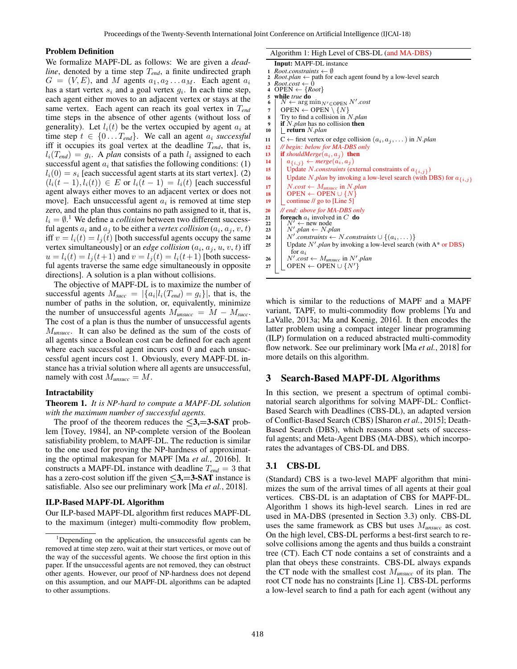#### Problem Definition

We formalize MAPF-DL as follows: We are given a *deadline*, denoted by a time step T*end*, a finite undirected graph  $G = (V, E)$ , and M agents  $a_1, a_2 \ldots a_M$ . Each agent  $a_i$ has a start vertex  $s_i$  and a goal vertex  $g_i$ . In each time step, each agent either moves to an adjacent vertex or stays at the same vertex. Each agent can reach its goal vertex in T*end* time steps in the absence of other agents (without loss of generality). Let  $l_i(t)$  be the vertex occupied by agent  $a_i$  at time step  $t \in \{0...T_{end}\}$ . We call an agent  $a_i$  *successful* iff it occupies its goal vertex at the deadline T*end*, that is,  $l_i(T_{end}) = g_i$ . A *plan* consists of a path  $l_i$  assigned to each successful agent  $a_i$  that satisfies the following conditions: (1)  $l_i(0) = s_i$  [each successful agent starts at its start vertex]. (2)  $(l_i(t-1), l_i(t)) \in E$  or  $l_i(t-1) = l_i(t)$  [each successful agent always either moves to an adjacent vertex or does not move]. Each unsuccessful agent  $a_i$  is removed at time step zero, and the plan thus contains no path assigned to it, that is,  $l_i = \emptyset$ <sup>1</sup>. We define a *collision* between two different successful agents  $a_i$  and  $a_j$  to be either a *vertex collision*  $(a_i, a_j, v, t)$ iff  $v = l_i(t) = l_j(t)$  [both successful agents occupy the same vertex simultaneously] or an *edge collision*  $(a_i, a_j, u, v, t)$  iff  $u = l_i(t) = l_j(t+1)$  and  $v = l_j(t) = l_i(t+1)$  [both successful agents traverse the same edge simultaneously in opposite directions]. A solution is a plan without collisions.

The objective of MAPF-DL is to maximize the number of successful agents  $M_{succ} = |\{a_i | l_i(T_{end}) = g_i\}|$ , that is, the number of paths in the solution, or, equivalently, minimize the number of unsuccessful agents  $M_{unsucc} = M - M_{succ}$ . The cost of a plan is thus the number of unsuccessful agents M*unsucc*. It can also be defined as the sum of the costs of all agents since a Boolean cost can be defined for each agent where each successful agent incurs cost 0 and each unsuccessful agent incurs cost 1. Obviously, every MAPF-DL instance has a trivial solution where all agents are unsuccessful, namely with cost  $M_{unsucc} = M$ .

#### Intractability

Theorem 1. *It is NP-hard to compute a MAPF-DL solution with the maximum number of successful agents.*

The proof of the theorem reduces the  $\leq 3, = 3$ -SAT problem [Tovey, 1984], an NP-complete version of the Boolean satisfiability problem, to MAPF-DL. The reduction is similar to the one used for proving the NP-hardness of approximating the optimal makespan for MAPF [Ma *et al.*, 2016b]. It constructs a MAPF-DL instance with deadline  $T_{end} = 3$  that has a zero-cost solution iff the given  $\leq$ 3,=3-SAT instance is satisfiable. Also see our preliminary work [Ma *et al.*, 2018].

## ILP-Based MAPF-DL Algorithm

Our ILP-based MAPF-DL algorithm first reduces MAPF-DL to the maximum (integer) multi-commodity flow problem,

|    | <b>Input:</b> MAPF-DL instance                                                                                |
|----|---------------------------------------------------------------------------------------------------------------|
|    | 1 Root.constraints $\leftarrow \emptyset$                                                                     |
|    | 2 <i>Root.plan</i> $\leftarrow$ path for each agent found by a low-level search<br>3 Root.cost $\leftarrow 0$ |
| 4  | OPEN $\leftarrow \{Root\}$                                                                                    |
| 5  | while true do                                                                                                 |
| 6  | $N \leftarrow \arg\min_{N' \in \text{OPEN}} N'.cost$                                                          |
| 7  | OPEN $\leftarrow$ OPEN $\setminus \{N\}$                                                                      |
| 8  | Try to find a collision in N.plan                                                                             |
| 9  | if $N$ -plan has no collision then                                                                            |
| 10 | <b>return</b> N.plan                                                                                          |
| 11 | $C \leftarrow$ first vertex or edge collision $(a_i, a_j, \dots)$ in N.plan                                   |
| 12 | // begin: below for MA-DBS only                                                                               |
| 13 | <b>if</b> shouldMerge $(a_i, a_j)$ then                                                                       |
| 14 | $a_{\{i,j\}} \leftarrow merge(a_i, a_j)$                                                                      |
| 15 | Update <i>N.constraints</i> (external constraints of $a_{\{i,j\}}$ )                                          |
| 16 | Update N.plan by invoking a low-level search (with DBS) for $a_{\{i,j\}}$                                     |
| 17 | $N.cost \leftarrow M_{unsucc}$ in N.plan                                                                      |
| 18 | OPEN $\leftarrow$ OPEN $\cup \{N\}$                                                                           |
| 19 | continue // go to [Line 5]                                                                                    |
| 20 | // end: above for MA-DBS only                                                                                 |
| 21 | <b>foreach</b> $a_i$ involved in C <b>do</b>                                                                  |
| 22 | $N' \leftarrow$ new node                                                                                      |
| 23 | $N'.plan \leftarrow N.plan$                                                                                   |
| 24 | $N'.constraints \leftarrow N. constraints \cup \{(a_i, \dots)\}\$                                             |
| 25 | Update $N'$ .plan by invoking a low-level search (with $A^*$ or DBS)                                          |
|    | for $a_i$                                                                                                     |
| 26 | $N'.cost \leftarrow M_{unsucc}$ in $N'.plan$                                                                  |
| 27 | OPEN $\leftarrow$ OPEN $\cup \{N'\}$                                                                          |

which is similar to the reductions of MAPF and a MAPF variant, TAPF, to multi-commodity flow problems [Yu and LaValle, 2013a; Ma and Koenig, 2016]. It then encodes the latter problem using a compact integer linear programming (ILP) formulation on a reduced abstracted multi-commodity flow network. See our preliminary work [Ma *et al.*, 2018] for more details on this algorithm.

## 3 Search-Based MAPF-DL Algorithms

In this section, we present a spectrum of optimal combinatorial search algorithms for solving MAPF-DL: Conflict-Based Search with Deadlines (CBS-DL), an adapted version of Conflict-Based Search (CBS) [Sharon *et al.*, 2015]; Death-Based Search (DBS), which reasons about sets of successful agents; and Meta-Agent DBS (MA-DBS), which incorporates the advantages of CBS-DL and DBS.

## 3.1 CBS-DL

(Standard) CBS is a two-level MAPF algorithm that minimizes the sum of the arrival times of all agents at their goal vertices. CBS-DL is an adaptation of CBS for MAPF-DL. Algorithm 1 shows its high-level search. Lines in red are used in MA-DBS (presented in Section 3.3) only. CBS-DL uses the same framework as CBS but uses M*unsucc* as cost. On the high level, CBS-DL performs a best-first search to resolve collisions among the agents and thus builds a constraint tree (CT). Each CT node contains a set of constraints and a plan that obeys these constraints. CBS-DL always expands the CT node with the smallest cost M*unsucc* of its plan. The root CT node has no constraints [Line 1]. CBS-DL performs a low-level search to find a path for each agent (without any

<sup>&</sup>lt;sup>1</sup>Depending on the application, the unsuccessful agents can be removed at time step zero, wait at their start vertices, or move out of the way of the successful agents. We choose the first option in this paper. If the unsuccessful agents are not removed, they can obstruct other agents. However, our proof of NP-hardness does not depend on this assumption, and our MAPF-DL algorithms can be adapted to other assumptions.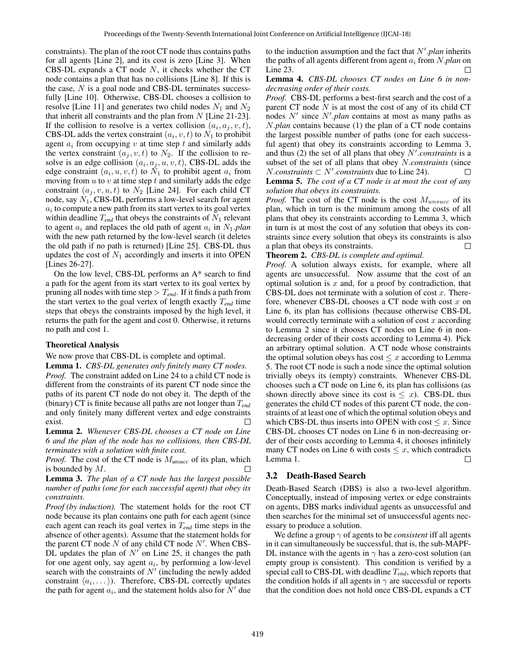constraints). The plan of the root CT node thus contains paths for all agents [Line 2], and its cost is zero [Line 3]. When CBS-DL expands a CT node  $N$ , it checks whether the CT node contains a plan that has no collisions [Line 8]. If this is the case, N is a goal node and CBS-DL terminates successfully [Line 10]. Otherwise, CBS-DL chooses a collision to resolve [Line 11] and generates two child nodes  $N_1$  and  $N_2$ that inherit all constraints and the plan from  $N$  [Line 21-23]. If the collision to resolve is a vertex collision  $(a_i, a_j, v, t)$ , CBS-DL adds the vertex constraint  $(a_i, v, t)$  to  $N_1$  to prohibit agent  $a_i$  from occupying v at time step t and similarly adds the vertex constraint  $(a_j, v, t)$  to  $N_2$ . If the collision to resolve is an edge collision  $(a_i, a_j, u, v, t)$ , CBS-DL adds the edge constraint  $(a_i, u, v, t)$  to  $N_1$  to prohibit agent  $a_i$  from moving from  $u$  to  $v$  at time step  $t$  and similarly adds the edge constraint  $(a_i, v, u, t)$  to  $N_2$  [Line 24]. For each child CT node, say  $N_1$ , CBS-DL performs a low-level search for agent  $a_i$  to compute a new path from its start vertex to its goal vertex within deadline  $T_{end}$  that obeys the constraints of  $N_1$  relevant to agent  $a_i$  and replaces the old path of agent  $a_i$  in  $N_1$ .*plan* with the new path returned by the low-level search (it deletes the old path if no path is returned) [Line 25]. CBS-DL thus updates the cost of  $N_1$  accordingly and inserts it into OPEN [Lines 26-27].

On the low level, CBS-DL performs an A\* search to find a path for the agent from its start vertex to its goal vertex by pruning all nodes with time step > T*end*. If it finds a path from the start vertex to the goal vertex of length exactly T*end* time steps that obeys the constraints imposed by the high level, it returns the path for the agent and cost 0. Otherwise, it returns no path and cost 1.

## Theoretical Analysis

We now prove that CBS-DL is complete and optimal.

Lemma 1. *CBS-DL generates only finitely many CT nodes. Proof.* The constraint added on Line 24 to a child CT node is different from the constraints of its parent CT node since the paths of its parent CT node do not obey it. The depth of the (binary) CT is finite because all paths are not longer than T*end* and only finitely many different vertex and edge constraints exist. П

Lemma 2. *Whenever CBS-DL chooses a CT node on Line 6 and the plan of the node has no collisions, then CBS-DL terminates with a solution with finite cost.*

*Proof.* The cost of the CT node is M*unsucc* of its plan, which is bounded by  $M$ . П

Lemma 3. *The plan of a CT node has the largest possible number of paths (one for each successful agent) that obey its constraints.*

*Proof (by induction).* The statement holds for the root CT node because its plan contains one path for each agent (since each agent can reach its goal vertex in T*end* time steps in the absence of other agents). Assume that the statement holds for the parent CT node  $N$  of any child CT node  $N'$ . When CBS-DL updates the plan of  $N'$  on Line 25, it changes the path for one agent only, say agent  $a_i$ , by performing a low-level search with the constraints of  $N'$  (including the newly added constraint  $\langle a_i, \dots \rangle$ ). Therefore, CBS-DL correctly updates the path for agent  $a_i$ , and the statement holds also for  $N'$  due

to the induction assumption and the fact that  $N'$ .*plan* inherits the paths of all agents different from agent  $a_i$  from N.*plan* on  $\Box$ Line 23.

## Lemma 4. *CBS-DL chooses CT nodes on Line 6 in nondecreasing order of their costs.*

*Proof.* CBS-DL performs a best-first search and the cost of a parent CT node  $N$  is at most the cost of any of its child CT nodes  $N'$  since  $N'$  *plan* contains at most as many paths as N.*plan* contains because (1) the plan of a CT node contains the largest possible number of paths (one for each successful agent) that obey its constraints according to Lemma 3, and thus  $(2)$  the set of all plans that obey  $N'$ .*constraints* is a subset of the set of all plans that obey N.*constraints* (since  $N.$ *constraints* ⊂  $N'.$ *constraints* due to Line 24). П

Lemma 5. *The cost of a CT node is at most the cost of any solution that obeys its constraints.*

*Proof.* The cost of the CT node is the cost  $M_{unsucc}$  of its plan, which in turn is the minimum among the costs of all plans that obey its constraints according to Lemma 3, which in turn is at most the cost of any solution that obeys its constraints since every solution that obeys its constraints is also a plan that obeys its constraints. П

Theorem 2. *CBS-DL is complete and optimal.*

*Proof.* A solution always exists, for example, where all agents are unsuccessful. Now assume that the cost of an optimal solution is  $x$  and, for a proof by contradiction, that CBS-DL does not terminate with a solution of cost  $x$ . Therefore, whenever CBS-DL chooses a CT node with cost  $x$  on Line 6, its plan has collisions (because otherwise CBS-DL would correctly terminate with a solution of cost  $x$  according to Lemma 2 since it chooses CT nodes on Line 6 in nondecreasing order of their costs according to Lemma 4). Pick an arbitrary optimal solution. A CT node whose constraints the optimal solution obeys has cost  $\leq x$  according to Lemma 5. The root CT node is such a node since the optimal solution trivially obeys its (empty) constraints. Whenever CBS-DL chooses such a CT node on Line 6, its plan has collisions (as shown directly above since its cost is  $\leq x$ ). CBS-DL thus generates the child CT nodes of this parent CT node, the constraints of at least one of which the optimal solution obeys and which CBS-DL thus inserts into OPEN with cost  $\leq x$ . Since CBS-DL chooses CT nodes on Line 6 in non-decreasing order of their costs according to Lemma 4, it chooses infinitely many CT nodes on Line 6 with costs  $\leq x$ , which contradicts Lemma 1.  $\Box$ 

## 3.2 Death-Based Search

Death-Based Search (DBS) is also a two-level algorithm. Conceptually, instead of imposing vertex or edge constraints on agents, DBS marks individual agents as unsuccessful and then searches for the minimal set of unsuccessful agents necessary to produce a solution.

We define a group  $\gamma$  of agents to be *consistent* iff all agents in it can simultaneously be successful, that is, the sub-MAPF-DL instance with the agents in  $\gamma$  has a zero-cost solution (an empty group is consistent). This condition is verified by a special call to CBS-DL with deadline T*end*, which reports that the condition holds if all agents in  $\gamma$  are successful or reports that the condition does not hold once CBS-DL expands a CT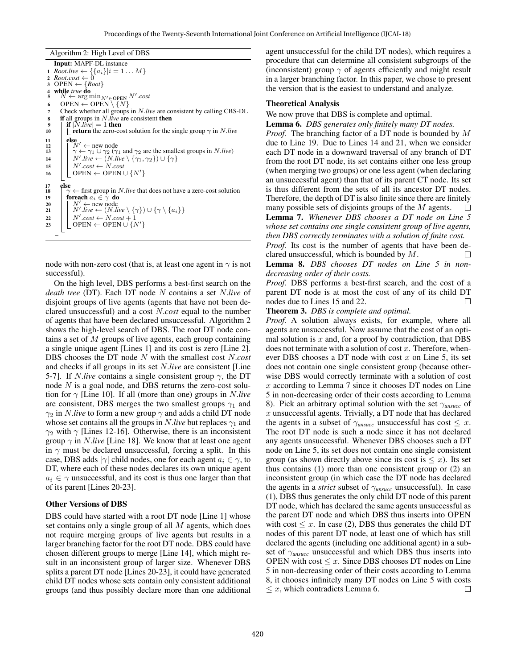Algorithm 2: High Level of DBS Input: MAPF-DL instance 1  $Root.live \leftarrow {\{a_i\}}|i = 1...M$ <br>2  $Root.cost \leftarrow 0$ 3 OPEN  $\leftarrow \{Root\}$ 4 while *true* do<br>5  $N \leftarrow \arg r$  $\overline{5} \mid N \leftarrow \argmin_{N' \in \text{OPEN}} N'.cost$ 6 OPEN  $\left\{ N \atop 7 \right\}$  Check whether all groups 7 Check whether all groups in N.*live* are consistent by calling CBS-DL 8 if all groups in *N.live* are consistent then<br>9 if  $|N$ .*live*  $|= 1$  then  $\begin{array}{|c|c|c|}\n\hline\n9 & \text{if } |N.live| = 1 \text{ then} \\
10 & \text{return the zero-co}\n\hline\n\end{array}$ 1 **return** the zero-cost solution for the single group  $\gamma$  in N.live  $\begin{array}{c|c} 11 \\ 12 \end{array}$  else  $\begin{array}{c|c} \n\overline{12} \\
\overline{13} \\
\overline{13}\n\end{array}$   $\begin{array}{c} \n\overline{N'} \leftarrow \text{new node} \\
\gamma \leftarrow \gamma_1 \cup \gamma_2 (\gamma_1)\n\end{array}$  $\leftarrow \gamma_1 \cup \gamma_2$  ( $\gamma_1$  and  $\gamma_2$  are the smallest groups in N.*live*) 14  $|$   $|$  *N'*.live  $\leftarrow$  (*N*.live  $\setminus$  { $\gamma_1, \gamma_2$ })  $\cup$  { $\gamma$ }  $15$   $\vert$   $\vert$  *N'*.cost  $\leftarrow$  *N*.cost 16 | | OPEN ← OPEN ∪  $\{N'\}$  $\frac{17}{18}$ 18 γ ← first group in N.*live* that does not have a zero-cost solution 19 **foreach**  $a_i \in \gamma$  **do**<br>20  $\mid N' \leftarrow$  new node  $\overline{21}$  | |  $\overline{N'}.$ *live* ←  $(N.$ *live* \  $\{\gamma\}) \cup \{\gamma \setminus \{a_i\}\}\$  $22 \mid \mid N'.cost \leftarrow N.cost + 1$  $\begin{array}{c|c} \mathbf{22} & P & N \cdot cost \leftarrow N \cdot cost + 1 \\ \mathbf{23} & \mathbf{OPEN} \leftarrow \mathbf{OPEN} \cup \{N'\} \end{array}$ 

node with non-zero cost (that is, at least one agent in  $\gamma$  is not successful).

On the high level, DBS performs a best-first search on the *death tree* (DT). Each DT node N contains a set N.*live* of disjoint groups of live agents (agents that have not been declared unsuccessful) and a cost N.*cost* equal to the number of agents that have been declared unsuccessful. Algorithm 2 shows the high-level search of DBS. The root DT node contains a set of M groups of live agents, each group containing a single unique agent [Lines 1] and its cost is zero [Line 2]. DBS chooses the DT node N with the smallest cost N.*cost* and checks if all groups in its set N.*live* are consistent [Line 5-7]. If *N.live* contains a single consistent group  $\gamma$ , the DT node N is a goal node, and DBS returns the zero-cost solution for γ [Line 10]. If all (more than one) groups in N.*live* are consistent, DBS merges the two smallest groups  $\gamma_1$  and  $\gamma_2$  in *N.live* to form a new group  $\gamma$  and adds a child DT node whose set contains all the groups in *N*.live but replaces  $\gamma_1$  and  $\gamma_2$  with  $\gamma$  [Lines 12-16]. Otherwise, there is an inconsistent group  $\gamma$  in *N.live* [Line 18]. We know that at least one agent in  $\gamma$  must be declared unsuccessful, forcing a split. In this case, DBS adds | $\gamma$ | child nodes, one for each agent  $a_i \in \gamma$ , to DT, where each of these nodes declares its own unique agent  $a_i \in \gamma$  unsuccessful, and its cost is thus one larger than that of its parent [Lines 20-23].

### Other Versions of DBS

DBS could have started with a root DT node [Line 1] whose set contains only a single group of all M agents, which does not require merging groups of live agents but results in a larger branching factor for the root DT node. DBS could have chosen different groups to merge [Line 14], which might result in an inconsistent group of larger size. Whenever DBS splits a parent DT node [Lines 20-23], it could have generated child DT nodes whose sets contain only consistent additional groups (and thus possibly declare more than one additional agent unsuccessful for the child DT nodes), which requires a procedure that can determine all consistent subgroups of the (inconsistent) group  $\gamma$  of agents efficiently and might result in a larger branching factor. In this paper, we chose to present the version that is the easiest to understand and analyze.

#### Theoretical Analysis

We now prove that DBS is complete and optimal.

Lemma 6. *DBS generates only finitely many DT nodes.*

*Proof.* The branching factor of a DT node is bounded by M due to Line 19. Due to Lines 14 and 21, when we consider each DT node in a downward traversal of any branch of DT from the root DT node, its set contains either one less group (when merging two groups) or one less agent (when declaring an unsuccessful agent) than that of its parent CT node. Its set is thus different from the sets of all its ancestor DT nodes. Therefore, the depth of DT is also finite since there are finitely many possible sets of disjoints groups of the M agents. П Lemma 7. *Whenever DBS chooses a DT node on Line 5 whose set contains one single consistent group of live agents, then DBS correctly terminates with a solution of finite cost.*

*Proof.* Its cost is the number of agents that have been declared unsuccessful, which is bounded by M.  $\Box$ Lemma 8. *DBS chooses DT nodes on Line 5 in nondecreasing order of their costs.*

*Proof.* DBS performs a best-first search, and the cost of a parent DT node is at most the cost of any of its child DT nodes due to Lines 15 and 22.  $\Box$ 

Theorem 3. *DBS is complete and optimal.*

*Proof.* A solution always exists, for example, where all agents are unsuccessful. Now assume that the cost of an optimal solution is  $x$  and, for a proof by contradiction, that DBS does not terminate with a solution of cost  $x$ . Therefore, whenever DBS chooses a DT node with cost  $x$  on Line 5, its set does not contain one single consistent group (because otherwise DBS would correctly terminate with a solution of cost x according to Lemma 7 since it chooses DT nodes on Line 5 in non-decreasing order of their costs according to Lemma 8). Pick an arbitrary optimal solution with the set γ*unsucc* of  $x$  unsuccessful agents. Trivially, a DT node that has declared the agents in a subset of  $\gamma_{\text{unsucc}}$  unsuccessful has cost  $\leq x$ . The root DT node is such a node since it has not declared any agents unsuccessful. Whenever DBS chooses such a DT node on Line 5, its set does not contain one single consistent group (as shown directly above since its cost is  $\leq x$ ). Its set thus contains (1) more than one consistent group or (2) an inconsistent group (in which case the DT node has declared the agents in a *strict* subset of  $\gamma_{unsucc}$  unsuccessful). In case (1), DBS thus generates the only child DT node of this parent DT node, which has declared the same agents unsuccessful as the parent DT node and which DBS thus inserts into OPEN with cost  $\leq x$ . In case (2), DBS thus generates the child DT nodes of this parent DT node, at least one of which has still declared the agents (including one additional agent) in a subset of  $\gamma_{\textit{unsucc}}$  unsuccessful and which DBS thus inserts into OPEN with cost  $\leq x$ . Since DBS chooses DT nodes on Line 5 in non-decreasing order of their costs according to Lemma 8, it chooses infinitely many DT nodes on Line 5 with costs  $\leq x$ , which contradicts Lemma 6.  $\Box$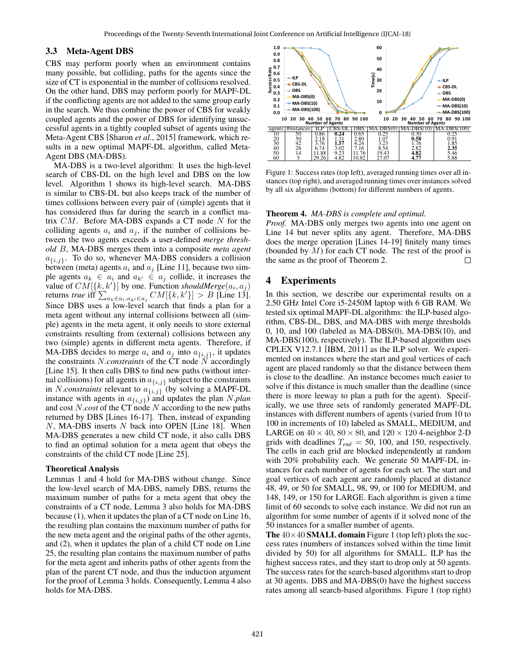#### 3.3 Meta-Agent DBS

CBS may perform poorly when an environment contains many possible, but colliding, paths for the agents since the size of CT is exponential in the number of collisions resolved. On the other hand, DBS may perform poorly for MAPF-DL if the conflicting agents are not added to the same group early in the search. We thus combine the power of CBS for weakly coupled agents and the power of DBS for identifying unsuccessful agents in a tightly coupled subset of agents using the Meta-Agent CBS [Sharon *et al.*, 2015] framework, which results in a new optimal MAPF-DL algorithm, called Meta-Agent DBS (MA-DBS).

MA-DBS is a two-level algorithm: It uses the high-level search of CBS-DL on the high level and DBS on the low level. Algorithm 1 shows its high-level search. MA-DBS is similar to CBS-DL but also keeps track of the number of times collisions between every pair of (simple) agents that it has considered thus far during the search in a conflict matrix  $CM$ . Before MA-DBS expands a CT node N for the colliding agents  $a_i$  and  $a_j$ , if the number of collisions between the two agents exceeds a user-defined *merge threshold* B, MA-DBS merges them into a composite *meta agent*  $a_{\{i,j\}}$ . To do so, whenever MA-DBS considers a collision between (meta) agents  $a_i$  and  $a_j$  [Line 11], because two simple agents  $a_k \in a_i$  and  $a_{k'} \in a_j$  collide, it increases the value of  $CM[\{k, k'\}]$  by one. Function shouldMerge $(a_i, a_j)$ returns *true* iff  $\sum_{a_k \in a_i, a_{k'} \in a_j} CM[\{k, k'\}] > B$  [Line 13]. Since DBS uses a low-level search that finds a plan for a meta agent without any internal collisions between all (simple) agents in the meta agent, it only needs to store external constraints resulting from (external) collisions between any two (simple) agents in different meta agents. Therefore, if MA-DBS decides to merge  $a_i$  and  $a_j$  into  $a_{\{i,j\}}$ , it updates the constraints *N.constraints* of the CT node  $\tilde{N}$  accordingly [Line 15]. It then calls DBS to find new paths (without internal collisions) for all agents in  $a_{\{i,j\}}$  subject to the constraints in *N*.*constraints* relevant to  $a_{\{i,j\}}$  (by solving a MAPF-DL instance with agents in  $a_{\{i,j\}}$  and updates the plan N.plan and cost N.*cost* of the CT node N according to the new paths returned by DBS [Lines 16-17]. Then, instead of expanding  $N$ , MA-DBS inserts  $N$  back into OPEN [Line 18]. When MA-DBS generates a new child CT node, it also calls DBS to find an optimal solution for a meta agent that obeys the constraints of the child CT node [Line 25].

#### Theoretical Analysis

Lemmas 1 and 4 hold for MA-DBS without change. Since the low-level search of MA-DBS, namely DBS, returns the maximum number of paths for a meta agent that obey the constraints of a CT node, Lemma 3 also holds for MA-DBS because (1), when it updates the plan of a CT node on Line 16, the resulting plan contains the maximum number of paths for the new meta agent and the original paths of the other agents, and (2), when it updates the plan of a child CT node on Line 25, the resulting plan contains the maximum number of paths for the meta agent and inherits paths of other agents from the plan of the parent CT node, and thus the induction argument for the proof of Lemma 3 holds. Consequently, Lemma 4 also holds for MA-DBS.



Figure 1: Success rates (top left), averaged running times over all instances (top right), and averaged running times over instances solved by all six algorithms (bottom) for different numbers of agents.

## Theorem 4. *MA-DBS is complete and optimal.*

*Proof.* MA-DBS only merges two agents into one agent on Line 14 but never splits any agent. Therefore, MA-DBS does the merge operation [Lines 14-19] finitely many times (bounded by  $M$ ) for each CT node. The rest of the proof is the same as the proof of Theorem 2. □

## 4 Experiments

In this section, we describe our experimental results on a 2.50 GHz Intel Core i5-2450M laptop with 6 GB RAM. We tested six optimal MAPF-DL algorithms: the ILP-based algorithm, CBS-DL, DBS, and MA-DBS with merge thresholds 0, 10, and 100 (labeled as MA-DBS(0), MA-DBS(10), and MA-DBS(100), respectively). The ILP-based algorithm uses CPLEX V12.7.1 [IBM, 2011] as the ILP solver. We experimented on instances where the start and goal vertices of each agent are placed randomly so that the distance between them is close to the deadline. An instance becomes much easier to solve if this distance is much smaller than the deadline (since there is more leeway to plan a path for the agent). Specifically, we use three sets of randomly generated MAPF-DL instances with different numbers of agents (varied from 10 to 100 in increments of 10) labeled as SMALL, MEDIUM, and LARGE on  $40 \times 40$ ,  $80 \times 80$ , and  $120 \times 120$  4-neighbor 2-D grids with deadlines  $T_{end} = 50$ , 100, and 150, respectively. The cells in each grid are blocked independently at random with 20% probability each. We generate 50 MAPF-DL instances for each number of agents for each set. The start and goal vertices of each agent are randomly placed at distance 48, 49, or 50 for SMALL, 98, 99, or 100 for MEDIUM, and 148, 149, or 150 for LARGE. Each algorithm is given a time limit of 60 seconds to solve each instance. We did not run an algorithm for some number of agents if it solved none of the 50 instances for a smaller number of agents.

The  $40\times40$  SMALL domain Figure 1 (top left) plots the success rates (numbers of instances solved within the time limit divided by 50) for all algorithms for SMALL. ILP has the highest success rates, and they start to drop only at 50 agents. The success rates for the search-based algorithms start to drop at 30 agents. DBS and MA-DBS(0) have the highest success rates among all search-based algorithms. Figure 1 (top right)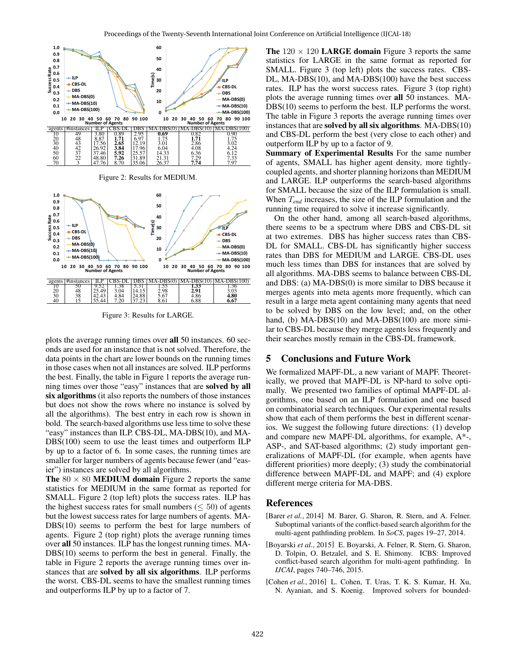

Figure 3: Results for LARGE.

plots the average running times over all 50 instances. 60 seconds are used for an instance that is not solved. Therefore, the data points in the chart are lower bounds on the running times in those cases when not all instances are solved. ILP performs the best. Finally, the table in Figure 1 reports the average running times over those "easy" instances that are solved by all six algorithms (it also reports the numbers of those instances but does not show the rows where no instance is solved by all the algorithms). The best entry in each row is shown in bold. The search-based algorithms use less time to solve these "easy" instances than ILP. CBS-DL, MA-DBS(10), and MA-DBS(100) seem to use the least times and outperform ILP by up to a factor of 6. In some cases, the running times are smaller for larger numbers of agents because fewer (and "easier") instances are solved by all algorithms.

The  $80 \times 80$  MEDIUM domain Figure 2 reports the same statistics for MEDIUM in the same format as reported for SMALL. Figure 2 (top left) plots the success rates. ILP has the highest success rates for small numbers ( $\leq 50$ ) of agents but the lowest success rates for large numbers of agents. MA-DBS(10) seems to perform the best for large numbers of agents. Figure 2 (top right) plots the average running times over all 50 instances. ILP has the longest running times. MA-DBS(10) seems to perform the best in general. Finally, the table in Figure 2 reports the average running times over instances that are solved by all six algorithms. ILP performs the worst. CBS-DL seems to have the smallest running times and outperforms ILP by up to a factor of 7.

The  $120 \times 120$  LARGE domain Figure 3 reports the same statistics for LARGE in the same format as reported for SMALL. Figure 3 (top left) plots the success rates. CBS-DL, MA-DBS(10), and MA-DBS(100) have the best success rates. ILP has the worst success rates. Figure 3 (top right) plots the average running times over all 50 instances. MA-DBS(10) seems to perform the best. ILP performs the worst. The table in Figure 3 reports the average running times over instances that are solved by all six algorithms. MA-DBS(10) and CBS-DL perform the best (very close to each other) and outperform ILP by up to a factor of 9.

Summary of Experimental Results For the same number of agents, SMALL has higher agent density, more tightlycoupled agents, and shorter planning horizons than MEDIUM and LARGE. ILP outperforms the search-based algorithms for SMALL because the size of the ILP formulation is small. When T*end* increases, the size of the ILP formulation and the running time required to solve it increase significantly.

On the other hand, among all search-based algorithms, there seems to be a spectrum where DBS and CBS-DL sit at two extremes. DBS has higher success rates than CBS-DL for SMALL. CBS-DL has significantly higher success rates than DBS for MEDIUM and LARGE. CBS-DL uses much less times than DBS for instances that are solved by all algorithms. MA-DBS seems to balance between CBS-DL and DBS: (a) MA-DBS(0) is more similar to DBS because it merges agents into meta agents more frequently, which can result in a large meta agent containing many agents that need to be solved by DBS on the low level; and, on the other hand, (b) MA-DBS(10) and MA-DBS(100) are more similar to CBS-DL because they merge agents less frequently and their searches mostly remain in the CBS-DL framework.

## 5 Conclusions and Future Work

We formalized MAPF-DL, a new variant of MAPF. Theoretically, we proved that MAPF-DL is NP-hard to solve optimally. We presented two families of optimal MAPF-DL algorithms, one based on an ILP formulation and one based on combinatorial search techniques. Our experimental results show that each of them performs the best in different scenarios. We suggest the following future directions: (1) develop and compare new MAPF-DL algorithms, for example, A\*-, ASP-, and SAT-based algorithms; (2) study important generalizations of MAPF-DL (for example, when agents have different priorities) more deeply; (3) study the combinatorial difference between MAPF-DL and MAPF; and (4) explore different merge criteria for MA-DBS.

#### References

- [Barer *et al.*, 2014] M. Barer, G. Sharon, R. Stern, and A. Felner. Suboptimal variants of the conflict-based search algorithm for the multi-agent pathfinding problem. In *SoCS*, pages 19–27, 2014.
- [Boyarski *et al.*, 2015] E. Boyarski, A. Felner, R. Stern, G. Sharon, D. Tolpin, O. Betzalel, and S. E. Shimony. ICBS: Improved conflict-based search algorithm for multi-agent pathfinding. In *IJCAI*, pages 740–746, 2015.
- [Cohen *et al.*, 2016] L. Cohen, T. Uras, T. K. S. Kumar, H. Xu, N. Ayanian, and S. Koenig. Improved solvers for bounded-